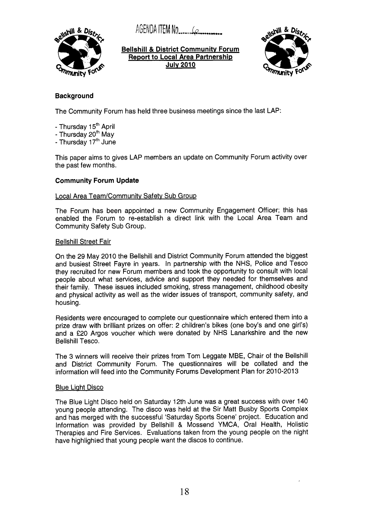~~~~~~~ ITEM No .....&--,



**Bellshill** & **District Communitv Forum Report to Local Area Partnership Julv 2010** 



# **Background**

The Community Forum has held three business meetings since the last LAP:

- Thursday 15<sup>th</sup> April
- Thursday  $20<sup>th</sup>$  May
- Thursday 17'h June

This paper aims to gives LAP members an update on Community Forum activity over the past few months.

## **Community Forum Update**

## Local Area Team/Communitv Safetv Sub Group

The Forum has been appointed a new Community Engagement Officer; this has enabled the Forum to re-establish a direct link with the Local Area Team and Community Safety Sub Group.

## Bellshill Street Fair

On the 29 May 2010 the Bellshill and District Community Forum attended the biggest and busiest Street Fayre in years. In partnership with the NHS, Police and Tesco they recruited for new Forum members and took the opportunity to consult with local people about what services, advice and support they needed for themselves and their family. These issues included smoking, stress management, childhood obesity and physical activity as well as the wider issues of transport, community safety, and housing.

Residents were encouraged to complete our questionnaire which entered them into a prize draw with brilliant prizes on offer: 2 children's bikes (one boy's and one girl's) and a €20 Argos voucher which were donated by NHS Lanarkshire and the new Bellshill Tesco.

The 3 winners will receive their prizes from Tom Leggate MBE, Chair of the Bellshill and District Community Forum. The questionnaires will be collated and the information will feed into the Community Forums Development Plan for 2010-2013

## **Blue Light Disco**

The Blue Light Disco held on Saturday 12th June was a great success with over 140 young people attending. The disco was held at the Sir Matt Busby Sports Complex and has merged with the successful 'Saturday Sports Scene' project. Education and Information was provided by Bellshill & Mossend YMCA, Oral Health, Holistic Therapies and Fire Services. Evaluations taken from the young people on the night have highlighted that young people want the discos to continue.